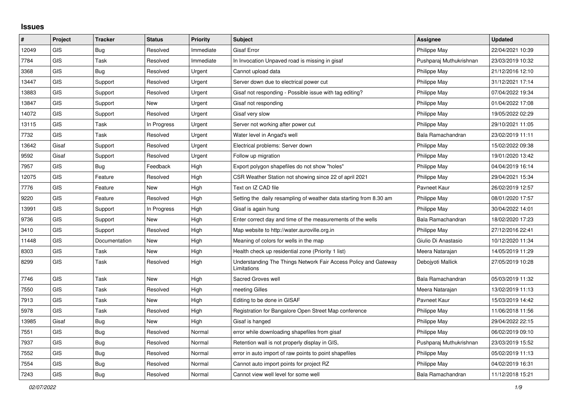## **Issues**

| $\vert$ # | Project    | <b>Tracker</b> | <b>Status</b> | <b>Priority</b> | <b>Subject</b>                                                                 | Assignee                | <b>Updated</b>   |
|-----------|------------|----------------|---------------|-----------------|--------------------------------------------------------------------------------|-------------------------|------------------|
| 12049     | <b>GIS</b> | Bug            | Resolved      | Immediate       | <b>Gisaf Error</b>                                                             | Philippe May            | 22/04/2021 10:39 |
| 7784      | GIS        | Task           | Resolved      | Immediate       | In Invocation Unpaved road is missing in gisaf                                 | Pushparaj Muthukrishnan | 23/03/2019 10:32 |
| 3368      | GIS        | Bug            | Resolved      | Urgent          | Cannot upload data                                                             | Philippe May            | 21/12/2016 12:10 |
| 13447     | GIS        | Support        | Resolved      | Urgent          | Server down due to electrical power cut                                        | Philippe May            | 31/12/2021 17:14 |
| 13883     | GIS        | Support        | Resolved      | Urgent          | Gisaf not responding - Possible issue with tag editing?                        | Philippe May            | 07/04/2022 19:34 |
| 13847     | GIS        | Support        | New           | Urgent          | Gisaf not responding                                                           | Philippe May            | 01/04/2022 17:08 |
| 14072     | GIS        | Support        | Resolved      | Urgent          | Gisaf very slow                                                                | Philippe May            | 19/05/2022 02:29 |
| 13115     | <b>GIS</b> | Task           | In Progress   | Urgent          | Server not working after power cut                                             | Philippe May            | 29/10/2021 11:05 |
| 7732      | <b>GIS</b> | Task           | Resolved      | Urgent          | Water level in Angad's well                                                    | Bala Ramachandran       | 23/02/2019 11:11 |
| 13642     | Gisaf      | Support        | Resolved      | Urgent          | Electrical problems: Server down                                               | Philippe May            | 15/02/2022 09:38 |
| 9592      | Gisaf      | Support        | Resolved      | Urgent          | Follow up migration                                                            | Philippe May            | 19/01/2020 13:42 |
| 7957      | GIS        | <b>Bug</b>     | Feedback      | High            | Export polygon shapefiles do not show "holes"                                  | Philippe May            | 04/04/2019 16:14 |
| 12075     | <b>GIS</b> | Feature        | Resolved      | High            | CSR Weather Station not showing since 22 of april 2021                         | Philippe May            | 29/04/2021 15:34 |
| 7776      | <b>GIS</b> | Feature        | <b>New</b>    | High            | Text on IZ CAD file                                                            | Pavneet Kaur            | 26/02/2019 12:57 |
| 9220      | GIS        | Feature        | Resolved      | High            | Setting the daily resampling of weather data starting from 8.30 am             | Philippe May            | 08/01/2020 17:57 |
| 13991     | GIS        | Support        | In Progress   | High            | Gisaf is again hung                                                            | Philippe May            | 30/04/2022 14:01 |
| 9736      | GIS        | Support        | <b>New</b>    | High            | Enter correct day and time of the measurements of the wells                    | Bala Ramachandran       | 18/02/2020 17:23 |
| 3410      | GIS        | Support        | Resolved      | High            | Map website to http://water.auroville.org.in                                   | Philippe May            | 27/12/2016 22:41 |
| 11448     | GIS        | Documentation  | New           | High            | Meaning of colors for wells in the map                                         | Giulio Di Anastasio     | 10/12/2020 11:34 |
| 8303      | GIS        | Task           | New           | High            | Health check up residential zone (Priority 1 list)                             | Meera Natarajan         | 14/05/2019 11:29 |
| 8299      | <b>GIS</b> | Task           | Resolved      | High            | Understanding The Things Network Fair Access Policy and Gateway<br>Limitations | Debojyoti Mallick       | 27/05/2019 10:28 |
| 7746      | GIS        | Task           | New           | High            | Sacred Groves well                                                             | Bala Ramachandran       | 05/03/2019 11:32 |
| 7550      | <b>GIS</b> | Task           | Resolved      | High            | meeting Gilles                                                                 | Meera Natarajan         | 13/02/2019 11:13 |
| 7913      | GIS        | Task           | New           | High            | Editing to be done in GISAF                                                    | Payneet Kaur            | 15/03/2019 14:42 |
| 5978      | <b>GIS</b> | Task           | Resolved      | High            | Registration for Bangalore Open Street Map conference                          | Philippe May            | 11/06/2018 11:56 |
| 13985     | Gisaf      | Bug            | New           | High            | Gisaf is hanged                                                                | Philippe May            | 29/04/2022 22:15 |
| 7551      | <b>GIS</b> | <b>Bug</b>     | Resolved      | Normal          | error while downloading shapefiles from gisaf                                  | Philippe May            | 06/02/2019 09:10 |
| 7937      | <b>GIS</b> | <b>Bug</b>     | Resolved      | Normal          | Retention wall is not properly display in GIS,                                 | Pushparaj Muthukrishnan | 23/03/2019 15:52 |
| 7552      | <b>GIS</b> | <b>Bug</b>     | Resolved      | Normal          | error in auto import of raw points to point shapefiles                         | Philippe May            | 05/02/2019 11:13 |
| 7554      | GIS        | <b>Bug</b>     | Resolved      | Normal          | Cannot auto import points for project RZ                                       | Philippe May            | 04/02/2019 16:31 |
| 7243      | GIS        | Bug            | Resolved      | Normal          | Cannot view well level for some well                                           | Bala Ramachandran       | 11/12/2018 15:21 |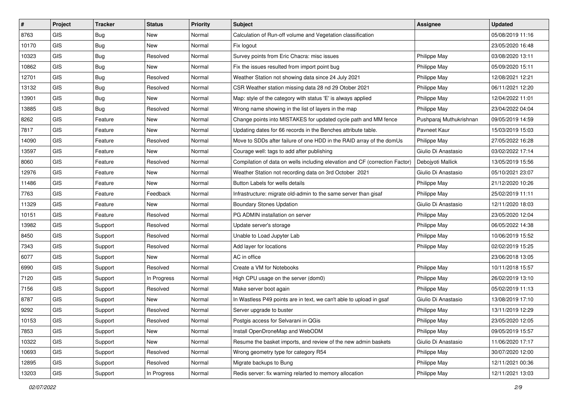| $\sharp$ | Project    | <b>Tracker</b> | <b>Status</b> | <b>Priority</b> | <b>Subject</b>                                                              | <b>Assignee</b>         | <b>Updated</b>   |
|----------|------------|----------------|---------------|-----------------|-----------------------------------------------------------------------------|-------------------------|------------------|
| 8763     | <b>GIS</b> | Bug            | New           | Normal          | Calculation of Run-off volume and Vegetation classification                 |                         | 05/08/2019 11:16 |
| 10170    | <b>GIS</b> | Bug            | New           | Normal          | Fix logout                                                                  |                         | 23/05/2020 16:48 |
| 10323    | GIS        | Bug            | Resolved      | Normal          | Survey points from Eric Chacra: misc issues                                 | Philippe May            | 03/08/2020 13:11 |
| 10862    | <b>GIS</b> | Bug            | New           | Normal          | Fix the issues resulted from import point bug                               | Philippe May            | 05/09/2020 15:11 |
| 12701    | <b>GIS</b> | <b>Bug</b>     | Resolved      | Normal          | Weather Station not showing data since 24 July 2021                         | Philippe May            | 12/08/2021 12:21 |
| 13132    | <b>GIS</b> | <b>Bug</b>     | Resolved      | Normal          | CSR Weather station missing data 28 nd 29 Otober 2021                       | Philippe May            | 06/11/2021 12:20 |
| 13901    | GIS        | <b>Bug</b>     | New           | Normal          | Map: style of the category with status 'E' is always applied                | Philippe May            | 12/04/2022 11:01 |
| 13885    | GIS        | Bug            | Resolved      | Normal          | Wrong name showing in the list of layers in the map                         | Philippe May            | 23/04/2022 04:04 |
| 8262     | GIS        | Feature        | New           | Normal          | Change points into MISTAKES for updated cycle path and MM fence             | Pushparaj Muthukrishnan | 09/05/2019 14:59 |
| 7817     | GIS        | Feature        | New           | Normal          | Updating dates for 66 records in the Benches attribute table.               | Pavneet Kaur            | 15/03/2019 15:03 |
| 14090    | <b>GIS</b> | Feature        | Resolved      | Normal          | Move to SDDs after failure of one HDD in the RAID array of the domUs        | Philippe May            | 27/05/2022 16:28 |
| 13597    | GIS        | Feature        | New           | Normal          | Courage well: tags to add after publishing                                  | Giulio Di Anastasio     | 03/02/2022 17:14 |
| 8060     | <b>GIS</b> | Feature        | Resolved      | Normal          | Compilation of data on wells including elevation and CF (correction Factor) | Debojyoti Mallick       | 13/05/2019 15:56 |
| 12976    | GIS        | Feature        | New           | Normal          | Weather Station not recording data on 3rd October 2021                      | Giulio Di Anastasio     | 05/10/2021 23:07 |
| 11486    | <b>GIS</b> | Feature        | New           | Normal          | Button Labels for wells details                                             | Philippe May            | 21/12/2020 10:26 |
| 7763     | GIS        | Feature        | Feedback      | Normal          | Infrastructure: migrate old-admin to the same server than gisaf             | Philippe May            | 25/02/2019 11:11 |
| 11329    | GIS        | Feature        | New           | Normal          | <b>Boundary Stones Updation</b>                                             | Giulio Di Anastasio     | 12/11/2020 18:03 |
| 10151    | <b>GIS</b> | Feature        | Resolved      | Normal          | PG ADMIN installation on server                                             | Philippe May            | 23/05/2020 12:04 |
| 13982    | <b>GIS</b> | Support        | Resolved      | Normal          | Update server's storage                                                     | Philippe May            | 06/05/2022 14:38 |
| 8450     | GIS        | Support        | Resolved      | Normal          | Unable to Load Jupyter Lab                                                  | Philippe May            | 10/06/2019 15:52 |
| 7343     | <b>GIS</b> | Support        | Resolved      | Normal          | Add layer for locations                                                     | Philippe May            | 02/02/2019 15:25 |
| 6077     | GIS        | Support        | New           | Normal          | AC in office                                                                |                         | 23/06/2018 13:05 |
| 6990     | GIS        | Support        | Resolved      | Normal          | Create a VM for Notebooks                                                   | Philippe May            | 10/11/2018 15:57 |
| 7120     | <b>GIS</b> | Support        | In Progress   | Normal          | High CPU usage on the server (dom0)                                         | Philippe May            | 26/02/2019 13:10 |
| 7156     | GIS        | Support        | Resolved      | Normal          | Make server boot again                                                      | Philippe May            | 05/02/2019 11:13 |
| 8787     | <b>GIS</b> | Support        | <b>New</b>    | Normal          | In Wastless P49 points are in text, we can't able to upload in gsaf         | Giulio Di Anastasio     | 13/08/2019 17:10 |
| 9292     | GIS        | Support        | Resolved      | Normal          | Server upgrade to buster                                                    | Philippe May            | 13/11/2019 12:29 |
| 10153    | GIS        | Support        | Resolved      | Normal          | Postgis access for Selvarani in QGis                                        | Philippe May            | 23/05/2020 12:05 |
| 7853     | GIS        | Support        | New           | Normal          | Install OpenDroneMap and WebODM                                             | Philippe May            | 09/05/2019 15:57 |
| 10322    | GIS        | Support        | New           | Normal          | Resume the basket imports, and review of the new admin baskets              | Giulio Di Anastasio     | 11/06/2020 17:17 |
| 10693    | GIS        | Support        | Resolved      | Normal          | Wrong geometry type for category R54                                        | Philippe May            | 30/07/2020 12:00 |
| 12895    | GIS        | Support        | Resolved      | Normal          | Migrate backups to Bung                                                     | Philippe May            | 12/11/2021 00:36 |
| 13203    | GIS        | Support        | In Progress   | Normal          | Redis server: fix warning relarted to memory allocation                     | Philippe May            | 12/11/2021 13:03 |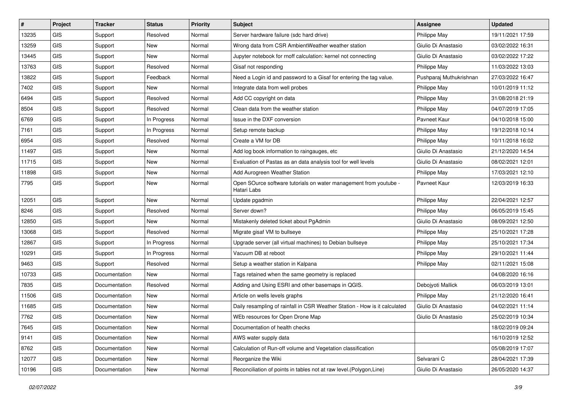| #     | Project    | <b>Tracker</b> | <b>Status</b> | <b>Priority</b> | Subject                                                                          | <b>Assignee</b>         | <b>Updated</b>   |
|-------|------------|----------------|---------------|-----------------|----------------------------------------------------------------------------------|-------------------------|------------------|
| 13235 | GIS        | Support        | Resolved      | Normal          | Server hardware failure (sdc hard drive)                                         | Philippe May            | 19/11/2021 17:59 |
| 13259 | <b>GIS</b> | Support        | <b>New</b>    | Normal          | Wrong data from CSR AmbientWeather weather station                               | Giulio Di Anastasio     | 03/02/2022 16:31 |
| 13445 | <b>GIS</b> | Support        | New           | Normal          | Jupyter notebook for rnoff calculation: kernel not connecting                    | Giulio Di Anastasio     | 03/02/2022 17:22 |
| 13763 | GIS        | Support        | Resolved      | Normal          | Gisaf not responding                                                             | Philippe May            | 11/03/2022 13:03 |
| 13822 | <b>GIS</b> | Support        | Feedback      | Normal          | Need a Login id and password to a Gisaf for entering the tag value.              | Pushparaj Muthukrishnan | 27/03/2022 16:47 |
| 7402  | <b>GIS</b> | Support        | New           | Normal          | Integrate data from well probes                                                  | Philippe May            | 10/01/2019 11:12 |
| 6494  | GIS        | Support        | Resolved      | Normal          | Add CC copyright on data                                                         | Philippe May            | 31/08/2018 21:19 |
| 8504  | GIS        | Support        | Resolved      | Normal          | Clean data from the weather station                                              | Philippe May            | 04/07/2019 17:05 |
| 6769  | GIS        | Support        | In Progress   | Normal          | Issue in the DXF conversion                                                      | Pavneet Kaur            | 04/10/2018 15:00 |
| 7161  | GIS        | Support        | In Progress   | Normal          | Setup remote backup                                                              | Philippe May            | 19/12/2018 10:14 |
| 6954  | GIS        | Support        | Resolved      | Normal          | Create a VM for DB                                                               | Philippe May            | 10/11/2018 16:02 |
| 11497 | GIS        | Support        | New           | Normal          | Add log book information to raingauges, etc                                      | Giulio Di Anastasio     | 21/12/2020 14:54 |
| 11715 | GIS        | Support        | New           | Normal          | Evaluation of Pastas as an data analysis tool for well levels                    | Giulio Di Anastasio     | 08/02/2021 12:01 |
| 11898 | GIS        | Support        | New           | Normal          | Add Aurogreen Weather Station                                                    | Philippe May            | 17/03/2021 12:10 |
| 7795  | <b>GIS</b> | Support        | New           | Normal          | Open SOurce software tutorials on water management from youtube -<br>Hatari Labs | Pavneet Kaur            | 12/03/2019 16:33 |
| 12051 | GIS        | Support        | New           | Normal          | Update pgadmin                                                                   | Philippe May            | 22/04/2021 12:57 |
| 8246  | <b>GIS</b> | Support        | Resolved      | Normal          | Server down?                                                                     | Philippe May            | 06/05/2019 15:45 |
| 12850 | GIS        | Support        | New           | Normal          | Mistakenly deleted ticket about PgAdmin                                          | Giulio Di Anastasio     | 08/09/2021 12:50 |
| 13068 | <b>GIS</b> | Support        | Resolved      | Normal          | Migrate gisaf VM to bullseye                                                     | Philippe May            | 25/10/2021 17:28 |
| 12867 | <b>GIS</b> | Support        | In Progress   | Normal          | Upgrade server (all virtual machines) to Debian bullseye                         | Philippe May            | 25/10/2021 17:34 |
| 10291 | GIS        | Support        | In Progress   | Normal          | Vacuum DB at reboot                                                              | Philippe May            | 29/10/2021 11:44 |
| 9463  | <b>GIS</b> | Support        | Resolved      | Normal          | Setup a weather station in Kalpana                                               | Philippe May            | 02/11/2021 15:08 |
| 10733 | <b>GIS</b> | Documentation  | New           | Normal          | Tags retained when the same geometry is replaced                                 |                         | 04/08/2020 16:16 |
| 7835  | GIS        | Documentation  | Resolved      | Normal          | Adding and Using ESRI and other basemaps in QGIS.                                | Debojyoti Mallick       | 06/03/2019 13:01 |
| 11506 | GIS        | Documentation  | New           | Normal          | Article on wells levels graphs                                                   | Philippe May            | 21/12/2020 16:41 |
| 11685 | GIS        | Documentation  | New           | Normal          | Daily resampling of rainfall in CSR Weather Station - How is it calculated       | Giulio Di Anastasio     | 04/02/2021 11:14 |
| 7762  | GIS        | Documentation  | New           | Normal          | WEb resources for Open Drone Map                                                 | Giulio Di Anastasio     | 25/02/2019 10:34 |
| 7645  | GIS        | Documentation  | New           | Normal          | Documentation of health checks                                                   |                         | 18/02/2019 09:24 |
| 9141  | GIS        | Documentation  | New           | Normal          | AWS water supply data                                                            |                         | 16/10/2019 12:52 |
| 8762  | GIS        | Documentation  | New           | Normal          | Calculation of Run-off volume and Vegetation classification                      |                         | 05/08/2019 17:07 |
| 12077 | GIS        | Documentation  | New           | Normal          | Reorganize the Wiki                                                              | Selvarani C             | 28/04/2021 17:39 |
| 10196 | GIS        | Documentation  | New           | Normal          | Reconciliation of points in tables not at raw level.(Polygon,Line)               | Giulio Di Anastasio     | 26/05/2020 14:37 |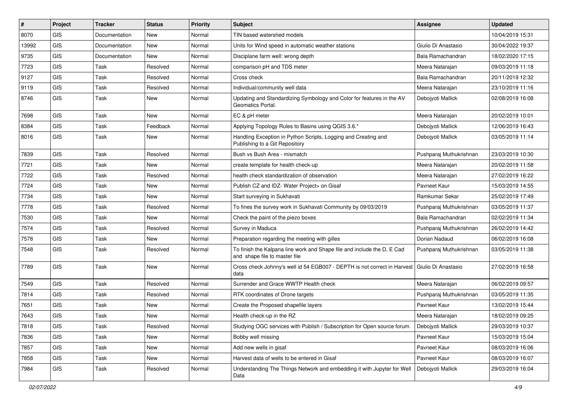| #     | Project    | <b>Tracker</b> | <b>Status</b> | Priority | Subject                                                                                                  | <b>Assignee</b>         | <b>Updated</b>   |
|-------|------------|----------------|---------------|----------|----------------------------------------------------------------------------------------------------------|-------------------------|------------------|
| 8070  | GIS        | Documentation  | New           | Normal   | TIN based watershed models                                                                               |                         | 10/04/2019 15:31 |
| 13992 | GIS        | Documentation  | New           | Normal   | Units for Wind speed in automatic weather stations                                                       | Giulio Di Anastasio     | 30/04/2022 19:37 |
| 9735  | GIS        | Documentation  | New           | Normal   | Disciplane farm well: wrong depth                                                                        | Bala Ramachandran       | 18/02/2020 17:15 |
| 7723  | GIS        | Task           | Resolved      | Normal   | comparison pH and TDS meter                                                                              | Meera Natarajan         | 09/03/2019 11:18 |
| 9127  | GIS        | Task           | Resolved      | Normal   | Cross check                                                                                              | Bala Ramachandran       | 20/11/2019 12:32 |
| 9119  | GIS        | Task           | Resolved      | Normal   | Individual/community well data                                                                           | Meera Natarajan         | 23/10/2019 11:16 |
| 8746  | GIS        | Task           | New           | Normal   | Updating and Standardizing Symbology and Color for features in the AV<br>Geomatics Portal.               | Debojyoti Mallick       | 02/08/2019 16:08 |
| 7698  | GIS        | Task           | New           | Normal   | EC & pH meter                                                                                            | Meera Natarajan         | 20/02/2019 10:01 |
| 8384  | GIS        | Task           | Feedback      | Normal   | Applying Topology Rules to Basins using QGIS 3.6.*                                                       | Debojyoti Mallick       | 12/06/2019 16:43 |
| 8016  | GIS        | Task           | New           | Normal   | Handling Exception in Python Scripts, Logging and Creating and<br>Publishing to a Git Repository         | Debojyoti Mallick       | 03/05/2019 11:14 |
| 7839  | GIS        | Task           | Resolved      | Normal   | Bush vs Bush Area - mismatch                                                                             | Pushparaj Muthukrishnan | 23/03/2019 10:30 |
| 7721  | GIS        | Task           | <b>New</b>    | Normal   | create template for health check-up                                                                      | Meera Natarajan         | 20/02/2019 11:58 |
| 7722  | GIS        | Task           | Resolved      | Normal   | health check standardization of observation                                                              | Meera Natarajan         | 27/02/2019 16:22 |
| 7724  | <b>GIS</b> | Task           | <b>New</b>    | Normal   | Publish CZ and IDZ- Water Project> on Gisaf                                                              | Pavneet Kaur            | 15/03/2019 14:55 |
| 7734  | GIS        | Task           | New           | Normal   | Start surveying in Sukhavati                                                                             | Ramkumar Sekar          | 25/02/2019 17:49 |
| 7778  | GIS        | Task           | Resolved      | Normal   | To fines the survey work in Sukhavati Community by 09/03/2019                                            | Pushparaj Muthukrishnan | 03/05/2019 11:37 |
| 7530  | GIS        | Task           | <b>New</b>    | Normal   | Check the paint of the piezo boxes                                                                       | Bala Ramachandran       | 02/02/2019 11:34 |
| 7574  | GIS        | Task           | Resolved      | Normal   | Survey in Maduca                                                                                         | Pushparaj Muthukrishnan | 26/02/2019 14:42 |
| 7578  | GIS        | Task           | <b>New</b>    | Normal   | Preparation regarding the meeting with gilles                                                            | Dorian Nadaud           | 06/02/2019 16:08 |
| 7548  | GIS        | Task           | Resolved      | Normal   | To finish the Kalpana line work and Shape file and include the D, E Cad<br>and shape file to master file | Pushparaj Muthukrishnan | 03/05/2019 11:38 |
| 7789  | <b>GIS</b> | Task           | <b>New</b>    | Normal   | Cross check Johnny's well id 54 EGB007 - DEPTH is not correct in Harvest Giulio Di Anastasio<br>data     |                         | 27/02/2019 16:58 |
| 7549  | GIS        | Task           | Resolved      | Normal   | Surrender and Grace WWTP Health check                                                                    | Meera Natarajan         | 06/02/2019 09:57 |
| 7814  | <b>GIS</b> | Task           | Resolved      | Normal   | RTK coordinates of Drone targets                                                                         | Pushparaj Muthukrishnan | 03/05/2019 11:35 |
| 7651  | GIS        | Task           | New           | Normal   | Create the Proposed shapefile layers                                                                     | Pavneet Kaur            | 13/02/2019 15:44 |
| 7643  | GIS        | Task           | New           | Normal   | Health check-up in the RZ                                                                                | Meera Natarajan         | 18/02/2019 09:25 |
| 7818  | GIS        | Task           | Resolved      | Normal   | Studying OGC services with Publish / Subscription for Open source forum.                                 | Debojyoti Mallick       | 29/03/2019 10:37 |
| 7836  | GIS        | Task           | New           | Normal   | Bobby well missing                                                                                       | Pavneet Kaur            | 15/03/2019 15:04 |
| 7857  | GIS        | Task           | New           | Normal   | Add new wells in gisaf                                                                                   | Pavneet Kaur            | 08/03/2019 16:06 |
| 7858  | GIS        | Task           | New           | Normal   | Harvest data of wells to be entered in Gisaf                                                             | Pavneet Kaur            | 08/03/2019 16:07 |
| 7984  | GIS        | Task           | Resolved      | Normal   | Understanding The Things Network and embedding it with Jupyter for Well<br>Data                          | Debojyoti Mallick       | 29/03/2019 16:04 |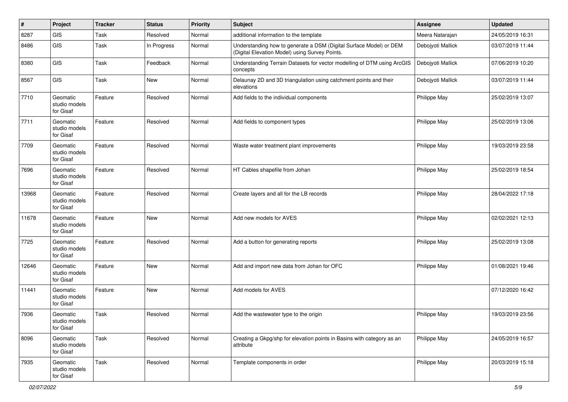| #     | Project                                | <b>Tracker</b> | <b>Status</b> | <b>Priority</b> | <b>Subject</b>                                                                                                       | Assignee          | <b>Updated</b>   |
|-------|----------------------------------------|----------------|---------------|-----------------|----------------------------------------------------------------------------------------------------------------------|-------------------|------------------|
| 8287  | GIS                                    | Task           | Resolved      | Normal          | additional information to the template                                                                               | Meera Natarajan   | 24/05/2019 16:31 |
| 8486  | GIS                                    | Task           | In Progress   | Normal          | Understanding how to generate a DSM (Digital Surface Model) or DEM<br>(Digital Elevation Model) using Survey Points. | Debojyoti Mallick | 03/07/2019 11:44 |
| 8380  | GIS                                    | Task           | Feedback      | Normal          | Understanding Terrain Datasets for vector modelling of DTM using ArcGIS<br>concepts                                  | Debojyoti Mallick | 07/06/2019 10:20 |
| 8567  | <b>GIS</b>                             | Task           | <b>New</b>    | Normal          | Delaunay 2D and 3D triangulation using catchment points and their<br>elevations                                      | Debojyoti Mallick | 03/07/2019 11:44 |
| 7710  | Geomatic<br>studio models<br>for Gisaf | Feature        | Resolved      | Normal          | Add fields to the individual components                                                                              | Philippe May      | 25/02/2019 13:07 |
| 7711  | Geomatic<br>studio models<br>for Gisaf | Feature        | Resolved      | Normal          | Add fields to component types                                                                                        | Philippe May      | 25/02/2019 13:06 |
| 7709  | Geomatic<br>studio models<br>for Gisaf | Feature        | Resolved      | Normal          | Waste water treatment plant improvements                                                                             | Philippe May      | 19/03/2019 23:58 |
| 7696  | Geomatic<br>studio models<br>for Gisaf | Feature        | Resolved      | Normal          | HT Cables shapefile from Johan                                                                                       | Philippe May      | 25/02/2019 18:54 |
| 13968 | Geomatic<br>studio models<br>for Gisaf | Feature        | Resolved      | Normal          | Create layers and all for the LB records                                                                             | Philippe May      | 28/04/2022 17:18 |
| 11678 | Geomatic<br>studio models<br>for Gisaf | Feature        | New           | Normal          | Add new models for AVES                                                                                              | Philippe May      | 02/02/2021 12:13 |
| 7725  | Geomatic<br>studio models<br>for Gisaf | Feature        | Resolved      | Normal          | Add a button for generating reports                                                                                  | Philippe May      | 25/02/2019 13:08 |
| 12646 | Geomatic<br>studio models<br>for Gisaf | Feature        | New           | Normal          | Add and import new data from Johan for OFC                                                                           | Philippe May      | 01/08/2021 19:46 |
| 11441 | Geomatic<br>studio models<br>for Gisaf | Feature        | New           | Normal          | Add models for AVES                                                                                                  |                   | 07/12/2020 16:42 |
| 7936  | Geomatic<br>studio models<br>for Gisaf | Task           | Resolved      | Normal          | Add the wastewater type to the origin                                                                                | Philippe May      | 19/03/2019 23:56 |
| 8096  | Geomatic<br>studio models<br>for Gisaf | Task           | Resolved      | Normal          | Creating a Gkpg/shp for elevation points in Basins with category as an<br>attribute                                  | Philippe May      | 24/05/2019 16:57 |
| 7935  | Geomatic<br>studio models<br>for Gisaf | Task           | Resolved      | Normal          | Template components in order                                                                                         | Philippe May      | 20/03/2019 15:18 |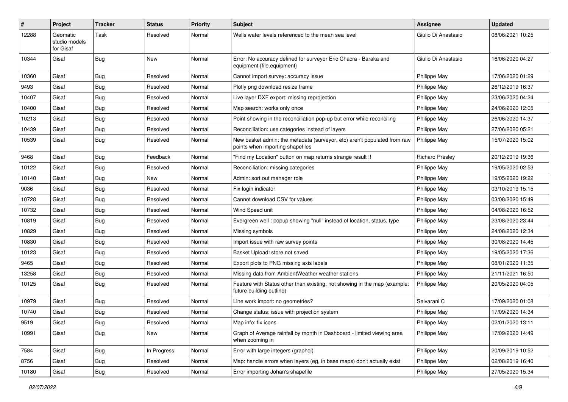| #     | Project                                | <b>Tracker</b> | <b>Status</b> | <b>Priority</b> | <b>Subject</b>                                                                                               | <b>Assignee</b>        | <b>Updated</b>   |
|-------|----------------------------------------|----------------|---------------|-----------------|--------------------------------------------------------------------------------------------------------------|------------------------|------------------|
| 12288 | Geomatic<br>studio models<br>for Gisaf | Task           | Resolved      | Normal          | Wells water levels referenced to the mean sea level                                                          | Giulio Di Anastasio    | 08/06/2021 10:25 |
| 10344 | Gisaf                                  | Bug            | New           | Normal          | Error: No accuracy defined for surveyor Eric Chacra - Baraka and<br>equipment {file.equipment}               | Giulio Di Anastasio    | 16/06/2020 04:27 |
| 10360 | Gisaf                                  | Bug            | Resolved      | Normal          | Cannot import survey: accuracy issue                                                                         | Philippe May           | 17/06/2020 01:29 |
| 9493  | Gisaf                                  | <b>Bug</b>     | Resolved      | Normal          | Plotly png download resize frame                                                                             | Philippe May           | 26/12/2019 16:37 |
| 10407 | Gisaf                                  | Bug            | Resolved      | Normal          | Live layer DXF export: missing reprojection                                                                  | Philippe May           | 23/06/2020 04:24 |
| 10400 | Gisaf                                  | Bug            | Resolved      | Normal          | Map search: works only once                                                                                  | Philippe May           | 24/06/2020 12:05 |
| 10213 | Gisaf                                  | Bug            | Resolved      | Normal          | Point showing in the reconciliation pop-up but error while reconciling                                       | Philippe May           | 26/06/2020 14:37 |
| 10439 | Gisaf                                  | Bug            | Resolved      | Normal          | Reconciliation: use categories instead of layers                                                             | Philippe May           | 27/06/2020 05:21 |
| 10539 | Gisaf                                  | Bug            | Resolved      | Normal          | New basket admin: the metadata (surveyor, etc) aren't populated from raw<br>points when importing shapefiles | Philippe May           | 15/07/2020 15:02 |
| 9468  | Gisaf                                  | Bug            | Feedback      | Normal          | "Find my Location" button on map returns strange result !!                                                   | <b>Richard Presley</b> | 20/12/2019 19:36 |
| 10122 | Gisaf                                  | <b>Bug</b>     | Resolved      | Normal          | Reconciliation: missing categories                                                                           | Philippe May           | 19/05/2020 02:53 |
| 10140 | Gisaf                                  | Bug            | New           | Normal          | Admin: sort out manager role                                                                                 | Philippe May           | 19/05/2020 19:22 |
| 9036  | Gisaf                                  | Bug            | Resolved      | Normal          | Fix login indicator                                                                                          | Philippe May           | 03/10/2019 15:15 |
| 10728 | Gisaf                                  | Bug            | Resolved      | Normal          | Cannot download CSV for values                                                                               | Philippe May           | 03/08/2020 15:49 |
| 10732 | Gisaf                                  | Bug            | Resolved      | Normal          | Wind Speed unit                                                                                              | Philippe May           | 04/08/2020 16:52 |
| 10819 | Gisaf                                  | Bug            | Resolved      | Normal          | Evergreen well: popup showing "null" instead of location, status, type                                       | Philippe May           | 23/08/2020 23:44 |
| 10829 | Gisaf                                  | Bug            | Resolved      | Normal          | Missing symbols                                                                                              | Philippe May           | 24/08/2020 12:34 |
| 10830 | Gisaf                                  | <b>Bug</b>     | Resolved      | Normal          | Import issue with raw survey points                                                                          | Philippe May           | 30/08/2020 14:45 |
| 10123 | Gisaf                                  | Bug            | Resolved      | Normal          | Basket Upload: store not saved                                                                               | Philippe May           | 19/05/2020 17:36 |
| 9465  | Gisaf                                  | Bug            | Resolved      | Normal          | Export plots to PNG missing axis labels                                                                      | Philippe May           | 08/01/2020 11:35 |
| 13258 | Gisaf                                  | Bug            | Resolved      | Normal          | Missing data from AmbientWeather weather stations                                                            | Philippe May           | 21/11/2021 16:50 |
| 10125 | Gisaf                                  | Bug            | Resolved      | Normal          | Feature with Status other than existing, not showing in the map (example:<br>future building outline)        | Philippe May           | 20/05/2020 04:05 |
| 10979 | Gisaf                                  | Bug            | Resolved      | Normal          | Line work import: no geometries?                                                                             | Selvarani C            | 17/09/2020 01:08 |
| 10740 | Gisaf                                  | Bug            | Resolved      | Normal          | Change status: issue with projection system                                                                  | Philippe May           | 17/09/2020 14:34 |
| 9519  | Gisaf                                  | <b>Bug</b>     | Resolved      | Normal          | Map info: fix icons                                                                                          | Philippe May           | 02/01/2020 13:11 |
| 10991 | Gisaf                                  | Bug            | New           | Normal          | Graph of Average rainfall by month in Dashboard - limited viewing area<br>when zooming in                    | Philippe May           | 17/09/2020 14:49 |
| 7584  | Gisaf                                  | <b>Bug</b>     | In Progress   | Normal          | Error with large integers (graphql)                                                                          | Philippe May           | 20/09/2019 10:52 |
| 8756  | Gisaf                                  | <b>Bug</b>     | Resolved      | Normal          | Map: handle errors when layers (eg, in base maps) don't actually exist                                       | Philippe May           | 02/08/2019 16:40 |
| 10180 | Gisaf                                  | Bug            | Resolved      | Normal          | Error importing Johan's shapefile                                                                            | Philippe May           | 27/05/2020 15:34 |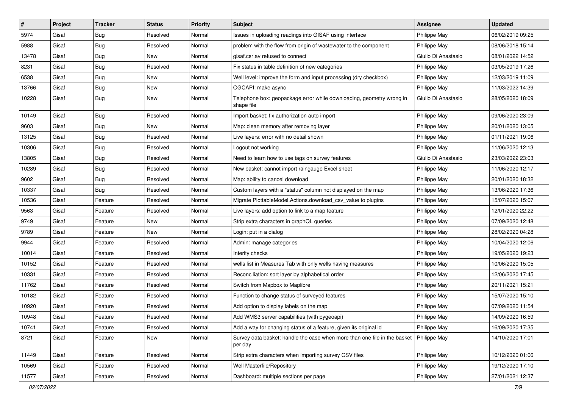| #     | Project | <b>Tracker</b> | <b>Status</b> | <b>Priority</b> | <b>Subject</b>                                                                       | <b>Assignee</b>     | <b>Updated</b>   |
|-------|---------|----------------|---------------|-----------------|--------------------------------------------------------------------------------------|---------------------|------------------|
| 5974  | Gisaf   | Bug            | Resolved      | Normal          | Issues in uploading readings into GISAF using interface                              | Philippe May        | 06/02/2019 09:25 |
| 5988  | Gisaf   | Bug            | Resolved      | Normal          | problem with the flow from origin of wastewater to the component                     | Philippe May        | 08/06/2018 15:14 |
| 13478 | Gisaf   | <b>Bug</b>     | New           | Normal          | gisaf.csr.av refused to connect                                                      | Giulio Di Anastasio | 08/01/2022 14:52 |
| 8231  | Gisaf   | <b>Bug</b>     | Resolved      | Normal          | Fix status in table definition of new categories                                     | Philippe May        | 03/05/2019 17:26 |
| 6538  | Gisaf   | <b>Bug</b>     | New           | Normal          | Well level: improve the form and input processing (dry checkbox)                     | Philippe May        | 12/03/2019 11:09 |
| 13766 | Gisaf   | <b>Bug</b>     | New           | Normal          | OGCAPI: make async                                                                   | Philippe May        | 11/03/2022 14:39 |
| 10228 | Gisaf   | <b>Bug</b>     | New           | Normal          | Telephone box: geopackage error while downloading, geometry wrong in<br>shape file   | Giulio Di Anastasio | 28/05/2020 18:09 |
| 10149 | Gisaf   | Bug            | Resolved      | Normal          | Import basket: fix authorization auto import                                         | Philippe May        | 09/06/2020 23:09 |
| 9603  | Gisaf   | <b>Bug</b>     | <b>New</b>    | Normal          | Map: clean memory after removing layer                                               | Philippe May        | 20/01/2020 13:05 |
| 13125 | Gisaf   | Bug            | Resolved      | Normal          | Live layers: error with no detail shown                                              | Philippe May        | 01/11/2021 19:06 |
| 10306 | Gisaf   | Bug            | Resolved      | Normal          | Logout not working                                                                   | Philippe May        | 11/06/2020 12:13 |
| 13805 | Gisaf   | <b>Bug</b>     | Resolved      | Normal          | Need to learn how to use tags on survey features                                     | Giulio Di Anastasio | 23/03/2022 23:03 |
| 10289 | Gisaf   | Bug            | Resolved      | Normal          | New basket: cannot import raingauge Excel sheet                                      | Philippe May        | 11/06/2020 12:17 |
| 9602  | Gisaf   | <b>Bug</b>     | Resolved      | Normal          | Map: ability to cancel download                                                      | Philippe May        | 20/01/2020 18:32 |
| 10337 | Gisaf   | Bug            | Resolved      | Normal          | Custom layers with a "status" column not displayed on the map                        | Philippe May        | 13/06/2020 17:36 |
| 10536 | Gisaf   | Feature        | Resolved      | Normal          | Migrate PlottableModel.Actions.download_csv_value to plugins                         | Philippe May        | 15/07/2020 15:07 |
| 9563  | Gisaf   | Feature        | Resolved      | Normal          | Live layers: add option to link to a map feature                                     | Philippe May        | 12/01/2020 22:22 |
| 9749  | Gisaf   | Feature        | New           | Normal          | Strip extra characters in graphQL queries                                            | Philippe May        | 07/09/2020 12:48 |
| 9789  | Gisaf   | Feature        | New           | Normal          | Login: put in a dialog                                                               | Philippe May        | 28/02/2020 04:28 |
| 9944  | Gisaf   | Feature        | Resolved      | Normal          | Admin: manage categories                                                             | Philippe May        | 10/04/2020 12:06 |
| 10014 | Gisaf   | Feature        | Resolved      | Normal          | Interity checks                                                                      | Philippe May        | 19/05/2020 19:23 |
| 10152 | Gisaf   | Feature        | Resolved      | Normal          | wells list in Measures Tab with only wells having measures                           | Philippe May        | 10/06/2020 15:05 |
| 10331 | Gisaf   | Feature        | Resolved      | Normal          | Reconciliation: sort layer by alphabetical order                                     | Philippe May        | 12/06/2020 17:45 |
| 11762 | Gisaf   | Feature        | Resolved      | Normal          | Switch from Mapbox to Maplibre                                                       | Philippe May        | 20/11/2021 15:21 |
| 10182 | Gisaf   | Feature        | Resolved      | Normal          | Function to change status of surveyed features                                       | Philippe May        | 15/07/2020 15:10 |
| 10920 | Gisaf   | Feature        | Resolved      | Normal          | Add option to display labels on the map                                              | Philippe May        | 07/09/2020 11:54 |
| 10948 | Gisaf   | Feature        | Resolved      | Normal          | Add WMS3 server capabilities (with pygeoapi)                                         | Philippe May        | 14/09/2020 16:59 |
| 10741 | Gisaf   | Feature        | Resolved      | Normal          | Add a way for changing status of a feature, given its original id                    | Philippe May        | 16/09/2020 17:35 |
| 8721  | Gisaf   | Feature        | New           | Normal          | Survey data basket: handle the case when more than one file in the basket<br>per day | Philippe May        | 14/10/2020 17:01 |
| 11449 | Gisaf   | Feature        | Resolved      | Normal          | Strip extra characters when importing survey CSV files                               | Philippe May        | 10/12/2020 01:06 |
| 10569 | Gisaf   | Feature        | Resolved      | Normal          | Well Masterfile/Repository                                                           | Philippe May        | 19/12/2020 17:10 |
| 11577 | Gisaf   | Feature        | Resolved      | Normal          | Dashboard: multiple sections per page                                                | Philippe May        | 27/01/2021 12:37 |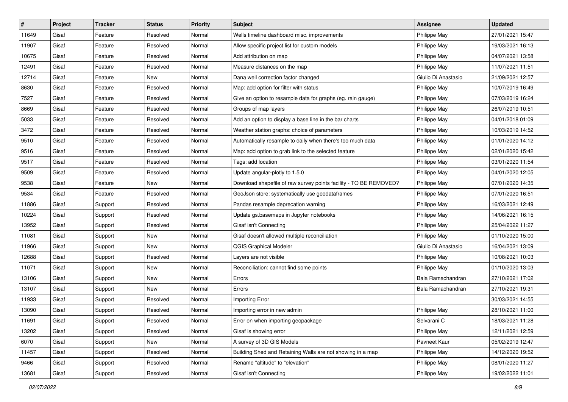| $\vert$ # | Project | <b>Tracker</b> | <b>Status</b> | <b>Priority</b> | <b>Subject</b>                                                    | <b>Assignee</b>     | <b>Updated</b>   |
|-----------|---------|----------------|---------------|-----------------|-------------------------------------------------------------------|---------------------|------------------|
| 11649     | Gisaf   | Feature        | Resolved      | Normal          | Wells timeline dashboard misc. improvements                       | Philippe May        | 27/01/2021 15:47 |
| 11907     | Gisaf   | Feature        | Resolved      | Normal          | Allow specific project list for custom models                     | Philippe May        | 19/03/2021 16:13 |
| 10675     | Gisaf   | Feature        | Resolved      | Normal          | Add attribution on map                                            | Philippe May        | 04/07/2021 13:58 |
| 12491     | Gisaf   | Feature        | Resolved      | Normal          | Measure distances on the map                                      | Philippe May        | 11/07/2021 11:51 |
| 12714     | Gisaf   | Feature        | New           | Normal          | Dana well correction factor changed                               | Giulio Di Anastasio | 21/09/2021 12:57 |
| 8630      | Gisaf   | Feature        | Resolved      | Normal          | Map: add option for filter with status                            | Philippe May        | 10/07/2019 16:49 |
| 7527      | Gisaf   | Feature        | Resolved      | Normal          | Give an option to resample data for graphs (eg. rain gauge)       | Philippe May        | 07/03/2019 16:24 |
| 8669      | Gisaf   | Feature        | Resolved      | Normal          | Groups of map layers                                              | Philippe May        | 26/07/2019 10:51 |
| 5033      | Gisaf   | Feature        | Resolved      | Normal          | Add an option to display a base line in the bar charts            | Philippe May        | 04/01/2018 01:09 |
| 3472      | Gisaf   | Feature        | Resolved      | Normal          | Weather station graphs: choice of parameters                      | Philippe May        | 10/03/2019 14:52 |
| 9510      | Gisaf   | Feature        | Resolved      | Normal          | Automatically resample to daily when there's too much data        | Philippe May        | 01/01/2020 14:12 |
| 9516      | Gisaf   | Feature        | Resolved      | Normal          | Map: add option to grab link to the selected feature              | Philippe May        | 02/01/2020 15:42 |
| 9517      | Gisaf   | Feature        | Resolved      | Normal          | Tags: add location                                                | Philippe May        | 03/01/2020 11:54 |
| 9509      | Gisaf   | Feature        | Resolved      | Normal          | Update angular-plotly to 1.5.0                                    | Philippe May        | 04/01/2020 12:05 |
| 9538      | Gisaf   | Feature        | New           | Normal          | Download shapefile of raw survey points facility - TO BE REMOVED? | Philippe May        | 07/01/2020 14:35 |
| 9534      | Gisaf   | Feature        | Resolved      | Normal          | GeoJson store: systematically use geodataframes                   | Philippe May        | 07/01/2020 16:51 |
| 11886     | Gisaf   | Support        | Resolved      | Normal          | Pandas resample deprecation warning                               | Philippe May        | 16/03/2021 12:49 |
| 10224     | Gisaf   | Support        | Resolved      | Normal          | Update gs.basemaps in Jupyter notebooks                           | Philippe May        | 14/06/2021 16:15 |
| 13952     | Gisaf   | Support        | Resolved      | Normal          | Gisaf isn't Connecting                                            | Philippe May        | 25/04/2022 11:27 |
| 11081     | Gisaf   | Support        | New           | Normal          | Gisaf doesn't allowed multiple reconciliation                     | Philippe May        | 01/10/2020 15:00 |
| 11966     | Gisaf   | Support        | New           | Normal          | <b>QGIS Graphical Modeler</b>                                     | Giulio Di Anastasio | 16/04/2021 13:09 |
| 12688     | Gisaf   | Support        | Resolved      | Normal          | Layers are not visible                                            | Philippe May        | 10/08/2021 10:03 |
| 11071     | Gisaf   | Support        | New           | Normal          | Reconciliation: cannot find some points                           | Philippe May        | 01/10/2020 13:03 |
| 13106     | Gisaf   | Support        | New           | Normal          | Errors                                                            | Bala Ramachandran   | 27/10/2021 17:02 |
| 13107     | Gisaf   | Support        | <b>New</b>    | Normal          | Errors                                                            | Bala Ramachandran   | 27/10/2021 19:31 |
| 11933     | Gisaf   | Support        | Resolved      | Normal          | Importing Error                                                   |                     | 30/03/2021 14:55 |
| 13090     | Gisaf   | Support        | Resolved      | Normal          | Importing error in new admin                                      | Philippe May        | 28/10/2021 11:00 |
| 11691     | Gisaf   | Support        | Resolved      | Normal          | Error on when importing geopackage                                | Selvarani C         | 18/03/2021 11:28 |
| 13202     | Gisaf   | Support        | Resolved      | Normal          | Gisaf is showing error                                            | Philippe May        | 12/11/2021 12:59 |
| 6070      | Gisaf   | Support        | New           | Normal          | A survey of 3D GIS Models                                         | Pavneet Kaur        | 05/02/2019 12:47 |
| 11457     | Gisaf   | Support        | Resolved      | Normal          | Building Shed and Retaining Walls are not showing in a map        | Philippe May        | 14/12/2020 19:52 |
| 9466      | Gisaf   | Support        | Resolved      | Normal          | Rename "altitude" to "elevation"                                  | Philippe May        | 08/01/2020 11:27 |
| 13681     | Gisaf   | Support        | Resolved      | Normal          | Gisaf isn't Connecting                                            | Philippe May        | 19/02/2022 11:01 |